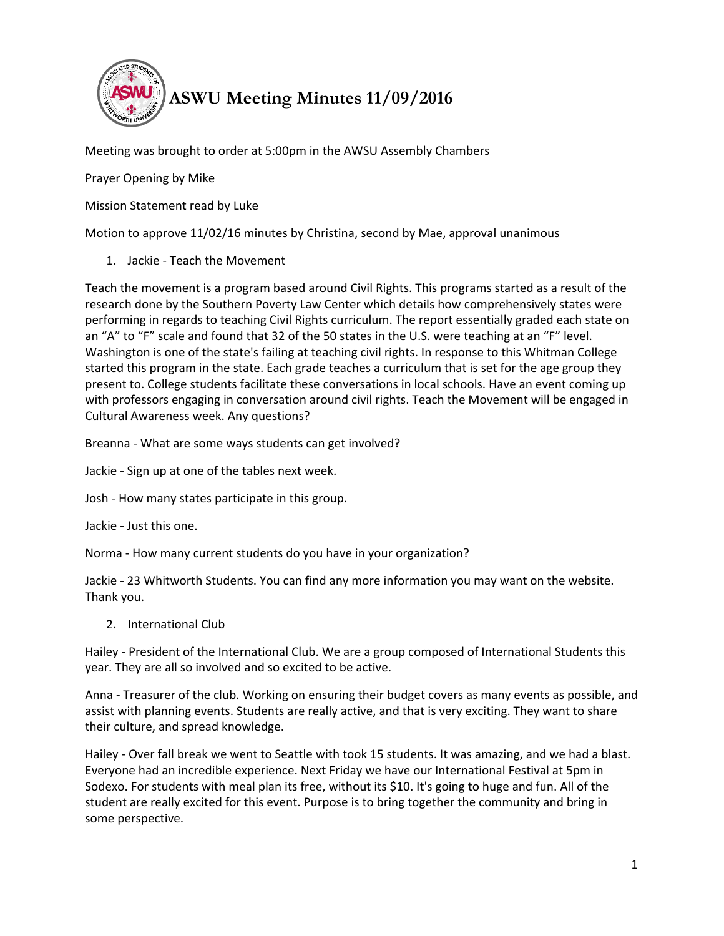

Meeting was brought to order at 5:00pm in the AWSU Assembly Chambers

Prayer Opening by Mike

Mission Statement read by Luke

Motion to approve 11/02/16 minutes by Christina, second by Mae, approval unanimous

1. Jackie - Teach the Movement

Teach the movement is a program based around Civil Rights. This programs started as a result of the research done by the Southern Poverty Law Center which details how comprehensively states were performing in regards to teaching Civil Rights curriculum. The report essentially graded each state on an "A" to "F" scale and found that 32 of the 50 states in the U.S. were teaching at an "F" level. Washington is one of the state's failing at teaching civil rights. In response to this Whitman College started this program in the state. Each grade teaches a curriculum that is set for the age group they present to. College students facilitate these conversations in local schools. Have an event coming up with professors engaging in conversation around civil rights. Teach the Movement will be engaged in Cultural Awareness week. Any questions?

Breanna - What are some ways students can get involved?

Jackie - Sign up at one of the tables next week.

Josh - How many states participate in this group.

Jackie - Just this one.

Norma - How many current students do you have in your organization?

Jackie - 23 Whitworth Students. You can find any more information you may want on the website. Thank you.

2. International Club

Hailey - President of the International Club. We are a group composed of International Students this year. They are all so involved and so excited to be active.

Anna - Treasurer of the club. Working on ensuring their budget covers as many events as possible, and assist with planning events. Students are really active, and that is very exciting. They want to share their culture, and spread knowledge.

Hailey - Over fall break we went to Seattle with took 15 students. It was amazing, and we had a blast. Everyone had an incredible experience. Next Friday we have our International Festival at 5pm in Sodexo. For students with meal plan its free, without its \$10. It's going to huge and fun. All of the student are really excited for this event. Purpose is to bring together the community and bring in some perspective.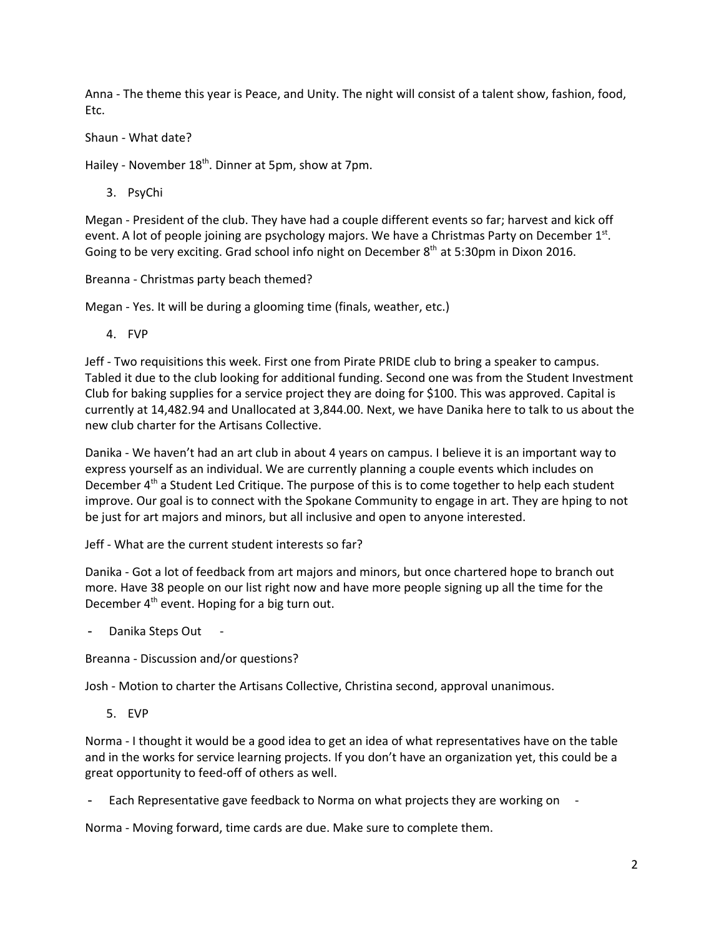Anna - The theme this year is Peace, and Unity. The night will consist of a talent show, fashion, food, Etc.

Shaun - What date?

Hailey - November 18<sup>th</sup>. Dinner at 5pm, show at 7pm.

3. PsyChi

Megan - President of the club. They have had a couple different events so far; harvest and kick off event. A lot of people joining are psychology majors. We have a Christmas Party on December  $1<sup>st</sup>$ . Going to be very exciting. Grad school info night on December  $8<sup>th</sup>$  at 5:30pm in Dixon 2016.

Breanna - Christmas party beach themed?

Megan - Yes. It will be during a glooming time (finals, weather, etc.)

4. FVP

Jeff - Two requisitions this week. First one from Pirate PRIDE club to bring a speaker to campus. Tabled it due to the club looking for additional funding. Second one was from the Student Investment Club for baking supplies for a service project they are doing for \$100. This was approved. Capital is currently at 14,482.94 and Unallocated at 3,844.00. Next, we have Danika here to talk to us about the new club charter for the Artisans Collective.

Danika - We haven't had an art club in about 4 years on campus. I believe it is an important way to express yourself as an individual. We are currently planning a couple events which includes on December  $4<sup>th</sup>$  a Student Led Critique. The purpose of this is to come together to help each student improve. Our goal is to connect with the Spokane Community to engage in art. They are hping to not be just for art majors and minors, but all inclusive and open to anyone interested.

Jeff - What are the current student interests so far?

Danika - Got a lot of feedback from art majors and minors, but once chartered hope to branch out more. Have 38 people on our list right now and have more people signing up all the time for the December  $4<sup>th</sup>$  event. Hoping for a big turn out.

Danika Steps Out -

Breanna - Discussion and/or questions?

Josh - Motion to charter the Artisans Collective, Christina second, approval unanimous.

5. EVP

Norma - I thought it would be a good idea to get an idea of what representatives have on the table and in the works for service learning projects. If you don't have an organization yet, this could be a great opportunity to feed-off of others as well.

Each Representative gave feedback to Norma on what projects they are working on

Norma - Moving forward, time cards are due. Make sure to complete them.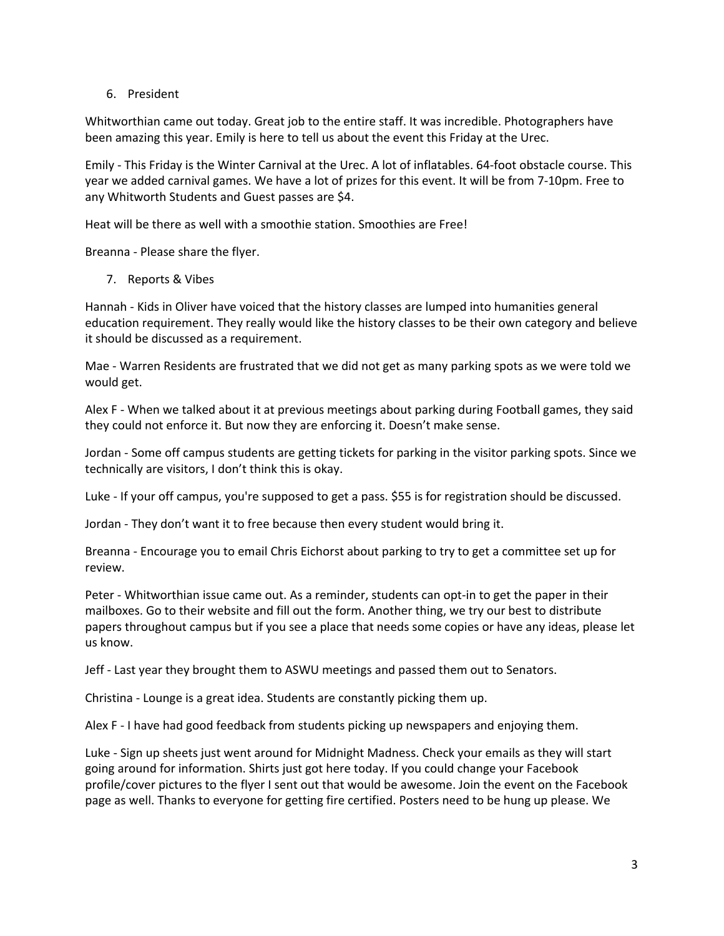## 6. President

Whitworthian came out today. Great job to the entire staff. It was incredible. Photographers have been amazing this year. Emily is here to tell us about the event this Friday at the Urec.

Emily - This Friday is the Winter Carnival at the Urec. A lot of inflatables. 64-foot obstacle course. This year we added carnival games. We have a lot of prizes for this event. It will be from 7-10pm. Free to any Whitworth Students and Guest passes are \$4.

Heat will be there as well with a smoothie station. Smoothies are Free!

Breanna - Please share the flyer.

7. Reports & Vibes

Hannah - Kids in Oliver have voiced that the history classes are lumped into humanities general education requirement. They really would like the history classes to be their own category and believe it should be discussed as a requirement.

Mae - Warren Residents are frustrated that we did not get as many parking spots as we were told we would get.

Alex F - When we talked about it at previous meetings about parking during Football games, they said they could not enforce it. But now they are enforcing it. Doesn't make sense.

Jordan - Some off campus students are getting tickets for parking in the visitor parking spots. Since we technically are visitors, I don't think this is okay.

Luke - If your off campus, you're supposed to get a pass. \$55 is for registration should be discussed.

Jordan - They don't want it to free because then every student would bring it.

Breanna - Encourage you to email Chris Eichorst about parking to try to get a committee set up for review.

Peter - Whitworthian issue came out. As a reminder, students can opt-in to get the paper in their mailboxes. Go to their website and fill out the form. Another thing, we try our best to distribute papers throughout campus but if you see a place that needs some copies or have any ideas, please let us know.

Jeff - Last year they brought them to ASWU meetings and passed them out to Senators.

Christina - Lounge is a great idea. Students are constantly picking them up.

Alex F - I have had good feedback from students picking up newspapers and enjoying them.

Luke - Sign up sheets just went around for Midnight Madness. Check your emails as they will start going around for information. Shirts just got here today. If you could change your Facebook profile/cover pictures to the flyer I sent out that would be awesome. Join the event on the Facebook page as well. Thanks to everyone for getting fire certified. Posters need to be hung up please. We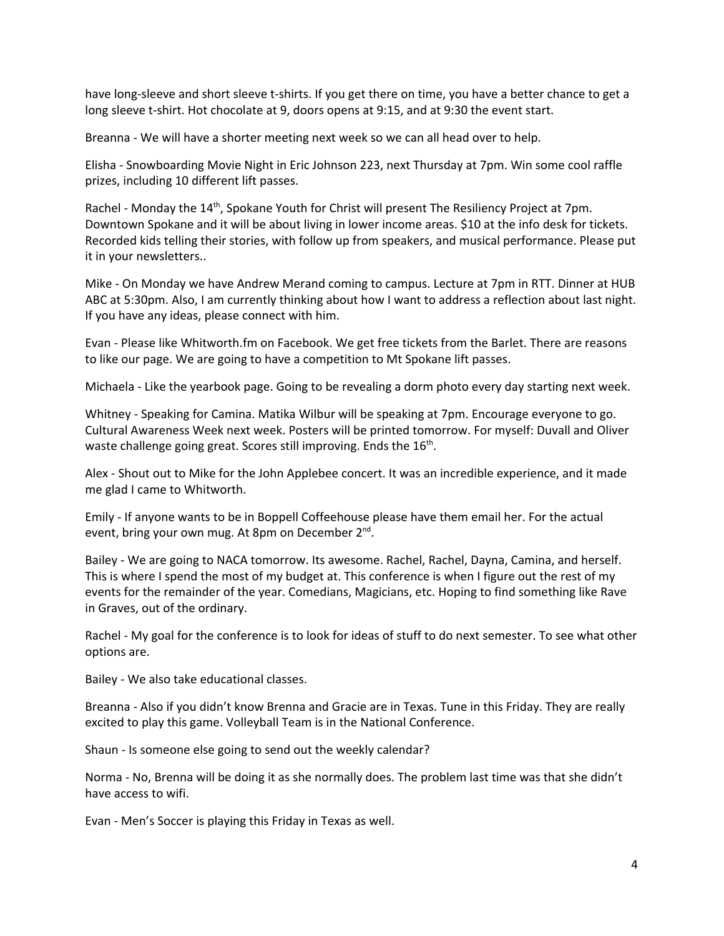have long-sleeve and short sleeve t-shirts. If you get there on time, you have a better chance to get a long sleeve t-shirt. Hot chocolate at 9, doors opens at 9:15, and at 9:30 the event start.

Breanna - We will have a shorter meeting next week so we can all head over to help.

Elisha - Snowboarding Movie Night in Eric Johnson 223, next Thursday at 7pm. Win some cool raffle prizes, including 10 different lift passes.

Rachel - Monday the 14<sup>th</sup>, Spokane Youth for Christ will present The Resiliency Project at 7pm. Downtown Spokane and it will be about living in lower income areas. \$10 at the info desk for tickets. Recorded kids telling their stories, with follow up from speakers, and musical performance. Please put it in your newsletters..

Mike - On Monday we have Andrew Merand coming to campus. Lecture at 7pm in RTT. Dinner at HUB ABC at 5:30pm. Also, I am currently thinking about how I want to address a reflection about last night. If you have any ideas, please connect with him.

Evan - Please like Whitworth.fm on Facebook. We get free tickets from the Barlet. There are reasons to like our page. We are going to have a competition to Mt Spokane lift passes.

Michaela - Like the yearbook page. Going to be revealing a dorm photo every day starting next week.

Whitney - Speaking for Camina. Matika Wilbur will be speaking at 7pm. Encourage everyone to go. Cultural Awareness Week next week. Posters will be printed tomorrow. For myself: Duvall and Oliver waste challenge going great. Scores still improving. Ends the 16<sup>th</sup>.

Alex - Shout out to Mike for the John Applebee concert. It was an incredible experience, and it made me glad I came to Whitworth.

Emily - If anyone wants to be in Boppell Coffeehouse please have them email her. For the actual event, bring your own mug. At 8pm on December 2<sup>nd</sup>.

Bailey - We are going to NACA tomorrow. Its awesome. Rachel, Rachel, Dayna, Camina, and herself. This is where I spend the most of my budget at. This conference is when I figure out the rest of my events for the remainder of the year. Comedians, Magicians, etc. Hoping to find something like Rave in Graves, out of the ordinary.

Rachel - My goal for the conference is to look for ideas of stuff to do next semester. To see what other options are.

Bailey - We also take educational classes.

Breanna - Also if you didn't know Brenna and Gracie are in Texas. Tune in this Friday. They are really excited to play this game. Volleyball Team is in the National Conference.

Shaun - Is someone else going to send out the weekly calendar?

Norma - No, Brenna will be doing it as she normally does. The problem last time was that she didn't have access to wifi.

Evan - Men's Soccer is playing this Friday in Texas as well.